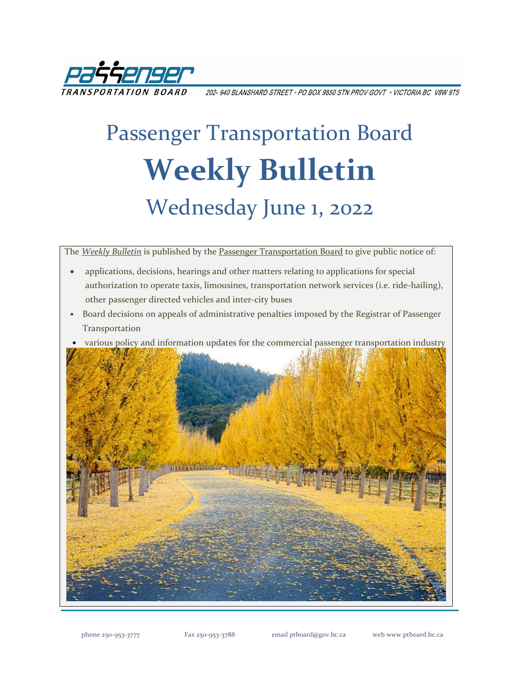

202- 940 BLANSHARD STREET \* PO BOX 9850 STN PROV GOVT \* VICTORIA BC V8W 9T5

# Passenger Transportation Board **Weekly Bulletin** Wednesday June 1, 2022

The *[Weekly Bulletin](https://www.ptboard.bc.ca/bulletins.htm)* is published by th[e Passenger Transportation Board](https://www.ptboard.bc.ca/index.htm) to give public notice of:

- applications, decisions, hearings and other matters relating to applications for special authorization to operate taxis, limousines, transportation network services (i.e. ride-hailing), other passenger directed vehicles and inter-city buses
- Board decisions on appeals of administrative penalties imposed by the Registrar of Passenger **Transportation**
- various policy and information updates for the commercial passenger transportation industry

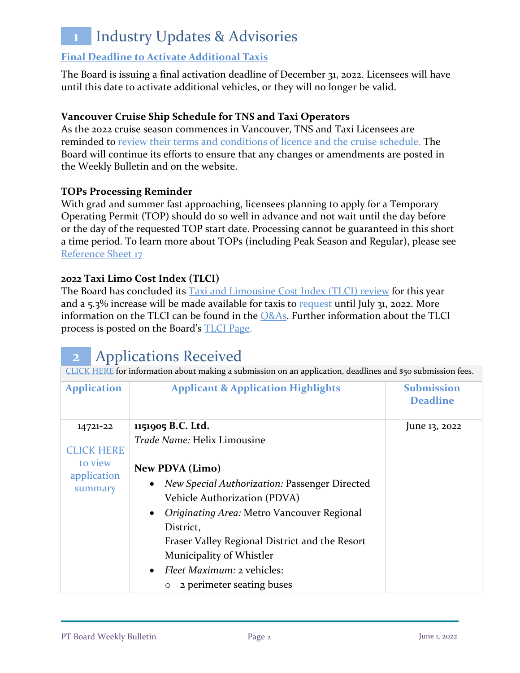## **1** Industry Updates & Advisories

#### **[Final Deadline to Activate Additional Taxis](https://www.ptboard.bc.ca/documents/ia-taxi-activation-final-extension-2022.pdf)**

The Board is issuing a final activation deadline of December 31, 2022. Licensees will have until this date to activate additional vehicles, or they will no longer be valid.

#### **Vancouver Cruise Ship Schedule for TNS and Taxi Operators**

As the 2022 cruise season commences in Vancouver, TNS and Taxi Licensees are reminded to [review their terms and conditions of licence and the cruise schedule.](https://www.ptboard.bc.ca/documents/ia-Vancouver-Cruise-Ship-Season-Reminder-2022.pdf) The Board will continue its efforts to ensure that any changes or amendments are posted in the Weekly Bulletin and on the website.

#### **TOPs Processing Reminder**

With grad and summer fast approaching, licensees planning to apply for a Temporary Operating Permit (TOP) should do so well in advance and not wait until the day before or the day of the requested TOP start date. Processing cannot be guaranteed in this short a time period. To learn more about TOPs (including Peak Season and Regular), please see [Reference Sheet 17](http://www.th.gov.bc.ca/forms/getForm.aspx?formId=1351)

#### **2022 Taxi Limo Cost Index (TLCI)**

The Board has concluded its [Taxi and Limousine Cost Index \(TLCI\) review](https://www.ptboard.bc.ca/documents/ia-tlci-2022.pdf) for this year and a  $5.3\%$  increase will be made available for taxis to [request](https://www.th.gov.bc.ca/forms/getForm.aspx?formId=1377) until July 31, 2022. More information on the TLCI can be found in the **O&As**. Further information about the TLCI process is posted on the Board's [TLCI Page.](https://www.ptboard.bc.ca/tlci.htm)

### **2** Applications Received

| CLICK HERE for information about making a submission on an application, deadlines and \$50 submission fees. |                                                                                      |                                      |  |  |
|-------------------------------------------------------------------------------------------------------------|--------------------------------------------------------------------------------------|--------------------------------------|--|--|
| <b>Application</b>                                                                                          | <b>Applicant &amp; Application Highlights</b>                                        | <b>Submission</b><br><b>Deadline</b> |  |  |
| 14721-22                                                                                                    | 1151905 B.C. Ltd.                                                                    | June 13, 2022                        |  |  |
| <b>CLICK HERE</b>                                                                                           | Trade Name: Helix Limousine                                                          |                                      |  |  |
| to view                                                                                                     | <b>New PDVA (Limo)</b>                                                               |                                      |  |  |
| application<br>summary                                                                                      | <b>New Special Authorization: Passenger Directed</b><br>Vehicle Authorization (PDVA) |                                      |  |  |
|                                                                                                             | Originating Area: Metro Vancouver Regional<br>$\bullet$                              |                                      |  |  |
|                                                                                                             | District,                                                                            |                                      |  |  |
|                                                                                                             | Fraser Valley Regional District and the Resort                                       |                                      |  |  |
|                                                                                                             | Municipality of Whistler                                                             |                                      |  |  |
|                                                                                                             | <i>Fleet Maximum: 2 vehicles:</i><br>$\bullet$                                       |                                      |  |  |
|                                                                                                             | 2 perimeter seating buses                                                            |                                      |  |  |